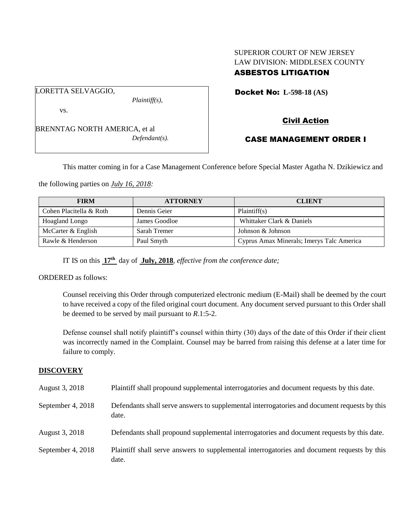# SUPERIOR COURT OF NEW JERSEY LAW DIVISION: MIDDLESEX COUNTY ASBESTOS LITIGATION

Docket No: **L-598-18 (AS)** 

vs.

LORETTA SELVAGGIO,

BRENNTAG NORTH AMERICA, et al *Defendant(s).*

*Plaintiff(s),*

Civil Action

# CASE MANAGEMENT ORDER I

This matter coming in for a Case Management Conference before Special Master Agatha N. Dzikiewicz and

the following parties on *July 16, 2018:*

| <b>FIRM</b>             | <b>ATTORNEY</b> | <b>CLIENT</b>                             |
|-------------------------|-----------------|-------------------------------------------|
| Cohen Placitella & Roth | Dennis Geier    | Plaintiff(s)                              |
| Hoagland Longo          | James Goodloe   | Whittaker Clark & Daniels                 |
| McCarter & English      | Sarah Tremer    | Johnson & Johnson                         |
| Rawle & Henderson       | Paul Smyth      | Cyprus Amax Minerals; Imerys Talc America |

IT IS on this **17th** day of **July, 2018**, *effective from the conference date;*

ORDERED as follows:

Counsel receiving this Order through computerized electronic medium (E-Mail) shall be deemed by the court to have received a copy of the filed original court document. Any document served pursuant to this Order shall be deemed to be served by mail pursuant to *R*.1:5-2.

Defense counsel shall notify plaintiff's counsel within thirty (30) days of the date of this Order if their client was incorrectly named in the Complaint. Counsel may be barred from raising this defense at a later time for failure to comply.

# **DISCOVERY**

| August 3, 2018    | Plaintiff shall propound supplemental interrogatories and document requests by this date.             |
|-------------------|-------------------------------------------------------------------------------------------------------|
| September 4, 2018 | Defendants shall serve answers to supplemental interrogatories and document requests by this<br>date. |
| August 3, 2018    | Defendants shall propound supplemental interrogatories and document requests by this date.            |
| September 4, 2018 | Plaintiff shall serve answers to supplemental interrogatories and document requests by this<br>date.  |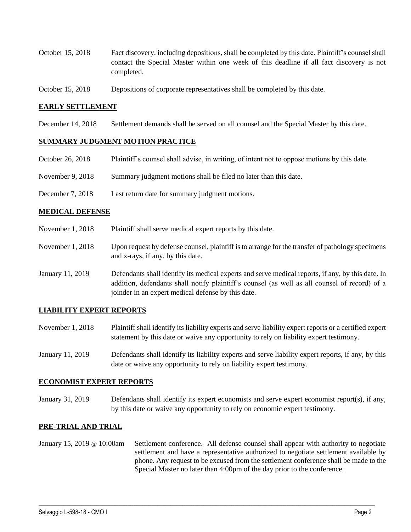- October 15, 2018 Fact discovery, including depositions, shall be completed by this date. Plaintiff's counsel shall contact the Special Master within one week of this deadline if all fact discovery is not completed.
- October 15, 2018 Depositions of corporate representatives shall be completed by this date.

### **EARLY SETTLEMENT**

December 14, 2018 Settlement demands shall be served on all counsel and the Special Master by this date.

#### **SUMMARY JUDGMENT MOTION PRACTICE**

| October 26, 2018 | Plaintiff's counsel shall advise, in writing, of intent not to oppose motions by this date. |
|------------------|---------------------------------------------------------------------------------------------|
| November 9, 2018 | Summary judgment motions shall be filed no later than this date.                            |
| December 7, 2018 | Last return date for summary judgment motions.                                              |

#### **MEDICAL DEFENSE**

- November 1, 2018 Plaintiff shall serve medical expert reports by this date.
- November 1, 2018 Upon request by defense counsel, plaintiff is to arrange for the transfer of pathology specimens and x-rays, if any, by this date.
- January 11, 2019 Defendants shall identify its medical experts and serve medical reports, if any, by this date. In addition, defendants shall notify plaintiff's counsel (as well as all counsel of record) of a joinder in an expert medical defense by this date.

## **LIABILITY EXPERT REPORTS**

- November 1, 2018 Plaintiff shall identify its liability experts and serve liability expert reports or a certified expert statement by this date or waive any opportunity to rely on liability expert testimony.
- January 11, 2019 Defendants shall identify its liability experts and serve liability expert reports, if any, by this date or waive any opportunity to rely on liability expert testimony.

### **ECONOMIST EXPERT REPORTS**

January 31, 2019 Defendants shall identify its expert economists and serve expert economist report(s), if any, by this date or waive any opportunity to rely on economic expert testimony.

#### **PRE-TRIAL AND TRIAL**

January 15, 2019 @ 10:00am Settlement conference. All defense counsel shall appear with authority to negotiate settlement and have a representative authorized to negotiate settlement available by phone. Any request to be excused from the settlement conference shall be made to the Special Master no later than 4:00pm of the day prior to the conference.

 $\_$  ,  $\_$  ,  $\_$  ,  $\_$  ,  $\_$  ,  $\_$  ,  $\_$  ,  $\_$  ,  $\_$  ,  $\_$  ,  $\_$  ,  $\_$  ,  $\_$  ,  $\_$  ,  $\_$  ,  $\_$  ,  $\_$  ,  $\_$  ,  $\_$  ,  $\_$  ,  $\_$  ,  $\_$  ,  $\_$  ,  $\_$  ,  $\_$  ,  $\_$  ,  $\_$  ,  $\_$  ,  $\_$  ,  $\_$  ,  $\_$  ,  $\_$  ,  $\_$  ,  $\_$  ,  $\_$  ,  $\_$  ,  $\_$  ,